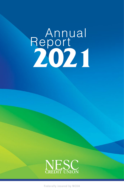# **Report 2021**



**Federally insured by NCUA**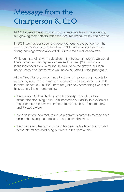# Message from the Chairperson & CEO

NESC Federal Credit Union (NESC) is entering its 64th year serving our growing membership within the local Merrimack Valley and beyond.

In 2021, we had our second unique year due to the pandemic. The credit union's assets grew by close to 9% and we continued to see strong earnings which allowed NESC to remain well capitalized.

While our financials will be detailed in the treasurer's report, we would like to point out that deposits increased by over \$9.2 million and loans increased by \$2.4 million. In addition to the growth, our loan delinquency and losses were well below our credit union peer group.

At the Credit Union, we continue to strive to improve our products for members, while at the same time increasing efficiencies for our staff to better serve you. In 2021, here are just a few of the things we did to help our staff and membership:

- We updated Online Banking and Mobile App to include free instant transfer using Zelle. This increased our ability to provide our membership with a way to transfer funds instantly 24 hours a day and 7 days a week.
- We also introduced features to help communicate with members via online chat using the mobile app and online banking.
- We purchased the building which houses the Methuen branch and corporate offices solidifying our roots in the community.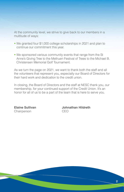At the community level, we strive to give back to our members in a multitude of ways:

- We granted four \$1,000 college scholarships in 2021 and plan to continue our commitment this year.
- We sponsored various community events that range from the St Anne's Giving Tree to the Methuen Festival of Trees to the Michael B. Christensen Memorial Golf Tournament.

As we turn the page on 2021, we want to thank both the staff and all the volunteers that represent you, especially our Board of Directors for their hard work and dedication to the credit union.

In closing, the Board of Directors and the staff at NESC thank you, our membership, for your continued support of the Credit Union. It's an honor for all of us to be a part of the team that is here to serve you.

Chairperson CEO

**Elaine Sullivan Johnathan Hildreth**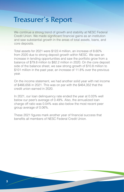# Treasurer's Report

We continue a strong trend of growth and stability at NESC Federal Credit Union. We made significant financial gains as an institution and saw substantial growth in the areas of total assets, loans, and core deposits.

Total assets for 2021 were \$122.4 million, an increase of 8.60% from 2020 due to strong deposit growth within NESC. We saw an increase in lending opportunities and saw the portfolio grow from a balance of \$79.8 million to \$82.2 million in 2020. On the core deposit side of the balance sheet, we saw strong growth of \$10.8 million to \$101 million in the past year, an increase of 11.8% over the previous year.

On the income statement, we had another solid year with net income of \$466,656 in 2021. This was on par with the \$464,352 that the credit union earned in 2020.

In 2021, our loan delinquency rate ended the year at 0.03% well below our peer's average of 0.49%. Also, the annualized loan charge off ratio was 0.04% was also below the most recent peer group average of 0.06%.

These 2021 figures mark another year of financial success that benefits all members of NESC Federal Credit Union.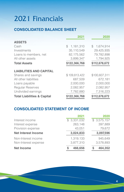# 2021 Financials

## **CONSOLIDATED BALANCE SHEET**

|                                        | 2021            | 2020          |
|----------------------------------------|-----------------|---------------|
| <b>ASSETS</b>                          |                 |               |
| Cash                                   | 1,181,310<br>\$ | \$1,674,914   |
| Investments                            | 35,110,549      | 29,425,935    |
| Loans to members, net                  | 82,175,562      | 79,782,898    |
| All other assets                       | 3,899,347       | 1,794,925     |
| <b>Total Assets</b>                    | \$122,366,768   | \$112,678,672 |
| <b>LIABILITIES AND CAPITAL</b>         |                 |               |
| Shares and savings                     | \$109,813,422   | \$100,607,311 |
| All other liabilities                  | 687,509         | 672,181       |
| Loans payable                          | 2,000,000       | 2,000,000     |
| <b>Regular Reserves</b>                | 2,082,957       | 2,082,957     |
| Undivided earnings                     | 7,782,880       | 7,316,223     |
| <b>Total Liabilities &amp; Capital</b> | \$122,366,768   | \$112,678,672 |

# **CONSOLIDATED STATEMENT OF INCOME**

|                            | 2021         | 2020        |
|----------------------------|--------------|-------------|
| Interest income            | \$3,331,032  | \$3,575,157 |
| Interest expense           | 263,148      | 397,889     |
| Provision expense          | 43,051       | 79,672      |
| <b>Net Interest Income</b> | 3,024,833    | 3,097,596   |
| Non-Interest income        | 1,319,133    | 945.649     |
| Non-Interest expense       | 3,877,310    | 3,578,893   |
| <b>Net Income</b>          | 466,656<br>S | 464,352     |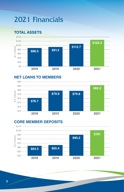# 2021 Financials

## **TOTAL ASSETS**



## **NET LOANS TO MEMBERS**



## **CORE MEMBER DEPOSITS**